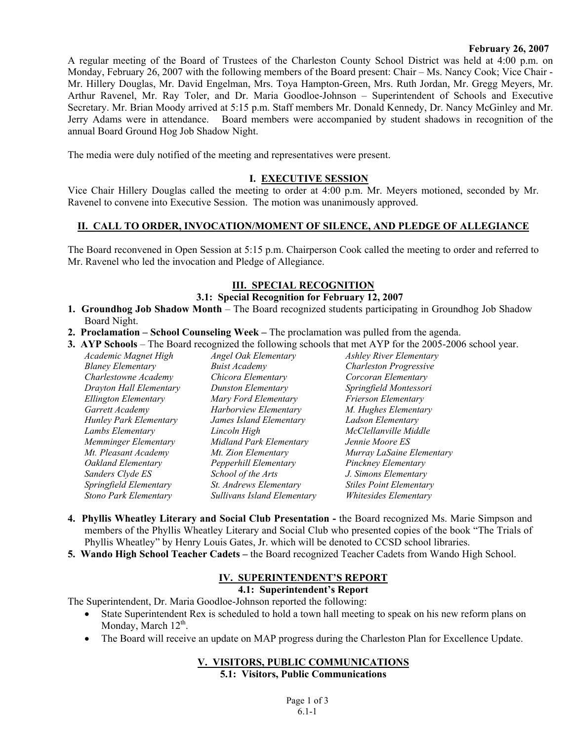#### **February 26, 2007**

A regular meeting of the Board of Trustees of the Charleston County School District was held at 4:00 p.m. on Monday, February 26, 2007 with the following members of the Board present: Chair – Ms. Nancy Cook; Vice Chair - Mr. Hillery Douglas, Mr. David Engelman, Mrs. Toya Hampton-Green, Mrs. Ruth Jordan, Mr. Gregg Meyers, Mr. Arthur Ravenel, Mr. Ray Toler, and Dr. Maria Goodloe-Johnson – Superintendent of Schools and Executive Secretary. Mr. Brian Moody arrived at 5:15 p.m. Staff members Mr. Donald Kennedy, Dr. Nancy McGinley and Mr. Jerry Adams were in attendance. Board members were accompanied by student shadows in recognition of the annual Board Ground Hog Job Shadow Night.

The media were duly notified of the meeting and representatives were present.

### **I. EXECUTIVE SESSION**

Vice Chair Hillery Douglas called the meeting to order at 4:00 p.m. Mr. Meyers motioned, seconded by Mr. Ravenel to convene into Executive Session. The motion was unanimously approved.

# **II. CALL TO ORDER, INVOCATION/MOMENT OF SILENCE, AND PLEDGE OF ALLEGIANCE**

The Board reconvened in Open Session at 5:15 p.m. Chairperson Cook called the meeting to order and referred to Mr. Ravenel who led the invocation and Pledge of Allegiance.

# **III. SPECIAL RECOGNITION**

## **3.1: Special Recognition for February 12, 2007**

- **1. Groundhog Job Shadow Month**  The Board recognized students participating in Groundhog Job Shadow Board Night.
- **2. Proclamation School Counseling Week** The proclamation was pulled from the agenda.
- **3. AYP Schools**  The Board recognized the following schools that met AYP for the 2005-2006 school year.

| Academic Magnet High         | Angel Oak Elementary        | <b>Ashley River Elementary</b> |
|------------------------------|-----------------------------|--------------------------------|
| <b>Blaney Elementary</b>     | <b>Buist Academy</b>        | <b>Charleston Progressive</b>  |
| Charlestowne Academy         | Chicora Elementary          | Corcoran Elementary            |
| Drayton Hall Elementary      | Dunston Elementary          | Springfield Montessori         |
| Ellington Elementary         | Mary Ford Elementary        | <b>Frierson Elementary</b>     |
| Garrett Academy              | Harborview Elementary       | M. Hughes Elementary           |
| Hunley Park Elementary       | James Island Elementary     | Ladson Elementary              |
| Lambs Elementary             | Lincoln High                | McClellanville Middle          |
| Memminger Elementary         | Midland Park Elementary     | Jennie Moore ES                |
| Mt. Pleasant Academy         | Mt. Zion Elementary         | Murray LaSaine Elementary      |
| Oakland Elementary           | Pepperhill Elementary       | Pinckney Elementary            |
| Sanders Clyde ES             | School of the Arts          | J. Simons Elementary           |
| Springfield Elementary       | St. Andrews Elementary      | <b>Stiles Point Elementary</b> |
| <b>Stono Park Elementary</b> | Sullivans Island Elementary | Whitesides Elementary          |

- **4. Phyllis Wheatley Literary and Social Club Presentation** the Board recognized Ms. Marie Simpson and members of the Phyllis Wheatley Literary and Social Club who presented copies of the book "The Trials of Phyllis Wheatley" by Henry Louis Gates, Jr. which will be denoted to CCSD school libraries.
- **5. Wando High School Teacher Cadets** the Board recognized Teacher Cadets from Wando High School.

### **IV. SUPERINTENDENT'S REPORT**

## **4.1: Superintendent's Report**

The Superintendent, Dr. Maria Goodloe-Johnson reported the following:

- State Superintendent Rex is scheduled to hold a town hall meeting to speak on his new reform plans on Monday, March  $12^{th}$ .
- The Board will receive an update on MAP progress during the Charleston Plan for Excellence Update.

#### **V. VISITORS, PUBLIC COMMUNICATIONS 5.1: Visitors, Public Communications**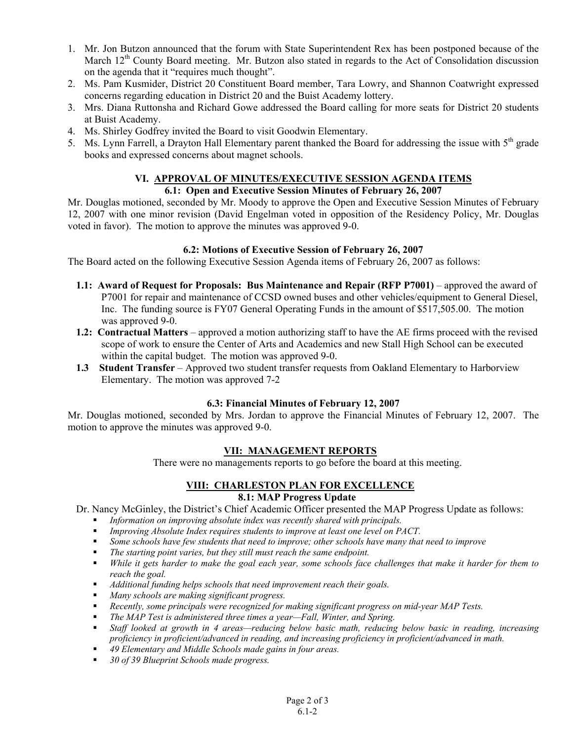- 1. Mr. Jon Butzon announced that the forum with State Superintendent Rex has been postponed because of the March 12<sup>th</sup> County Board meeting. Mr. Butzon also stated in regards to the Act of Consolidation discussion on the agenda that it "requires much thought".
- 2. Ms. Pam Kusmider, District 20 Constituent Board member, Tara Lowry, and Shannon Coatwright expressed concerns regarding education in District 20 and the Buist Academy lottery.
- 3. Mrs. Diana Ruttonsha and Richard Gowe addressed the Board calling for more seats for District 20 students at Buist Academy.
- 4. Ms. Shirley Godfrey invited the Board to visit Goodwin Elementary.
- 5. Ms. Lynn Farrell, a Drayton Hall Elementary parent thanked the Board for addressing the issue with 5<sup>th</sup> grade books and expressed concerns about magnet schools.

# **VI. APPROVAL OF MINUTES/EXECUTIVE SESSION AGENDA ITEMS**

### **6.1: Open and Executive Session Minutes of February 26, 2007**

Mr. Douglas motioned, seconded by Mr. Moody to approve the Open and Executive Session Minutes of February 12, 2007 with one minor revision (David Engelman voted in opposition of the Residency Policy, Mr. Douglas voted in favor). The motion to approve the minutes was approved 9-0.

#### **6.2: Motions of Executive Session of February 26, 2007**

The Board acted on the following Executive Session Agenda items of February 26, 2007 as follows:

- **1.1: Award of Request for Proposals: Bus Maintenance and Repair (RFP P7001)** approved the award of P7001 for repair and maintenance of CCSD owned buses and other vehicles/equipment to General Diesel, Inc. The funding source is FY07 General Operating Funds in the amount of \$517,505.00. The motion was approved 9-0.
- **1.2: Contractual Matters** approved a motion authorizing staff to have the AE firms proceed with the revised scope of work to ensure the Center of Arts and Academics and new Stall High School can be executed within the capital budget. The motion was approved 9-0.
- **1.3 Student Transfer** Approved two student transfer requests from Oakland Elementary to Harborview Elementary. The motion was approved 7-2

#### **6.3: Financial Minutes of February 12, 2007**

Mr. Douglas motioned, seconded by Mrs. Jordan to approve the Financial Minutes of February 12, 2007. The motion to approve the minutes was approved 9-0.

#### **VII: MANAGEMENT REPORTS**

There were no managements reports to go before the board at this meeting.

#### **VIII: CHARLESTON PLAN FOR EXCELLENCE 8.1: MAP Progress Update**

Dr. Nancy McGinley, the District's Chief Academic Officer presented the MAP Progress Update as follows:

- *Information on improving absolute index was recently shared with principals.*
- *Improving Absolute Index requires students to improve at least one level on PACT.*
- *Some schools have few students that need to improve; other schools have many that need to improve*
- *The starting point varies, but they still must reach the same endpoint.*
- *While it gets harder to make the goal each year, some schools face challenges that make it harder for them to reach the goal.*
- *Additional funding helps schools that need improvement reach their goals.*
- *Many schools are making significant progress.*
- *Recently, some principals were recognized for making significant progress on mid-year MAP Tests.*
- *The MAP Test is administered three times a year—Fall, Winter, and Spring.*
- *Staff looked at growth in 4 areas—reducing below basic math, reducing below basic in reading, increasing proficiency in proficient/advanced in reading, and increasing proficiency in proficient/advanced in math.*
- *49 Elementary and Middle Schools made gains in four areas.*
- *30 of 39 Blueprint Schools made progress.*